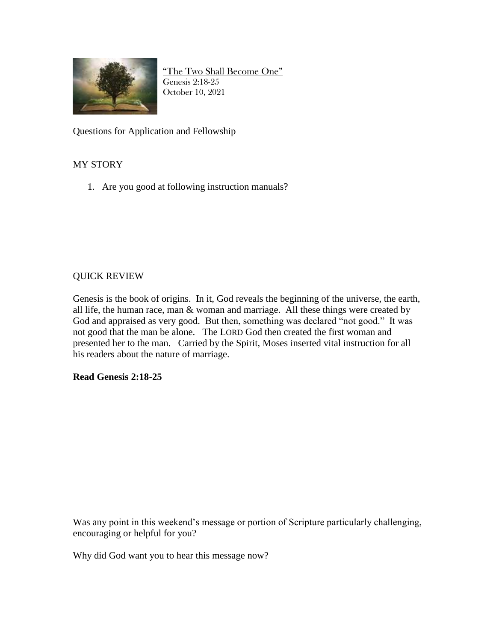

"The Two Shall Become One" Genesis 2:18-25 October 10, 2021

Questions for Application and Fellowship

## MY STORY

1. Are you good at following instruction manuals?

## QUICK REVIEW

Genesis is the book of origins. In it, God reveals the beginning of the universe, the earth, all life, the human race, man & woman and marriage. All these things were created by God and appraised as very good. But then, something was declared "not good." It was not good that the man be alone. The LORD God then created the first woman and presented her to the man. Carried by the Spirit, Moses inserted vital instruction for all his readers about the nature of marriage.

## **Read Genesis 2:18-25**

Was any point in this weekend's message or portion of Scripture particularly challenging, encouraging or helpful for you?

Why did God want you to hear this message now?